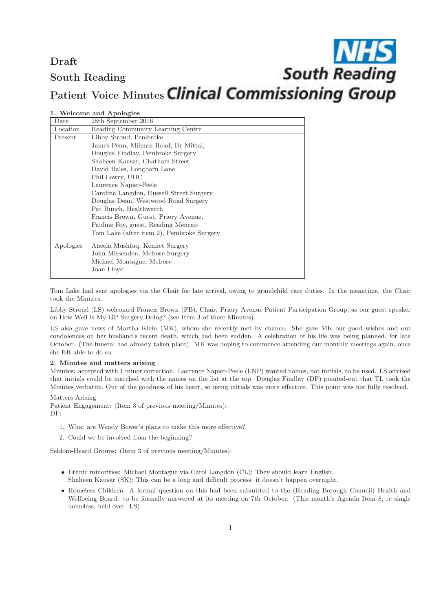## Draft South Reading

# **NHS**<br>South Reading Patient Voice Minutes Clinical Commissioning Group

|  |  |  | 1. Welcome and Apologies |
|--|--|--|--------------------------|
|--|--|--|--------------------------|

| Date      | 28th September 2016                       |  |  |
|-----------|-------------------------------------------|--|--|
| Location  | Reading Community Learning Centre         |  |  |
| Present   | Libby Stroud, Pembroke                    |  |  |
|           | James Penn, Milman Road, Dr Mittal,       |  |  |
|           | Douglas Findlay, Pembroke Surgery         |  |  |
|           | Shaheen Kausar, Chatham Street            |  |  |
|           | David Bales, Longbarn Lane                |  |  |
|           | Phil Lowry, UHC                           |  |  |
|           | Laurence Napier-Peele                     |  |  |
|           | Caroline Langdon, Russell Street Surgery  |  |  |
|           | Douglas Dean, Westwood Road Surgery       |  |  |
|           | Pat Bunch, Healthwatch                    |  |  |
|           | Francis Brown, Guest, Priory Avenue,      |  |  |
|           | Pauline Foy, guest, Reading Mencap        |  |  |
|           | Tom Lake (after item 2), Pembroke Surgery |  |  |
| Apologies | Aneela Mushtaq, Kennet Surgery            |  |  |
|           | John Missenden, Melrose Surgery           |  |  |
|           | Michael Montague, Melrose                 |  |  |
|           | Joan Lloyd                                |  |  |
|           |                                           |  |  |

Tom Lake had sent apologies via the Chair for late arrival, owing to grandchild care duties. In the meantime, the Chair took the Minutes.

Libby Stroud (LS) welcomed Francis Brown (FB), Chair, Priory Avenue Patient Participation Group, as our guest speaker on How Well is My GP Surgery Doing? (see Item 3 of these Minutes).

LS also gave news of Martha Klein (MK), whom she recently met by chance. She gave MK our good wishes and our condolences on her husband's recent death, which had been sudden. A celebration of his life was being planned, for late October. (The funeral had already taken place). MK was hoping to commence attending our monthly meetings again, once she felt able to do so.

#### 2. Minutes and matters arising

Minutes: accepted with 1 minor correction. Laurence Napier-Peele (LNP) wanted names, not initials, to be used. LS advised that initials could be matched with the names on the list at the top. Douglas Findlay (DF) pointed-out that TL took the Minutes verbatim, Out of the goodness of his heart, so using initials was more effective. This point was not fully resolved.

#### Matters Arising

Patient Engagement: (Item 3 of previous meeting/Minutes):

DF:

- 1. What are Wendy Bower's plans to make this more effective?
- 2. Could we be involved from the beginning?

Seldom-Heard Groups: (Item 3 of previous meeting/Minutes):

- Ethnic minorities: Michael Montague via Carol Langdon (CL): They should learn English. Shaheen Kausar (SK): This can be a long and difficult process it doesn't happen overnight.
- Homeless Children: A formal question on this had been submitted to the (Reading Borough Council) Health and Wellbeing Board: to be formally answered at its meeting on 7th October. (This month's Agenda Item 8, re single homeless, held over. LS)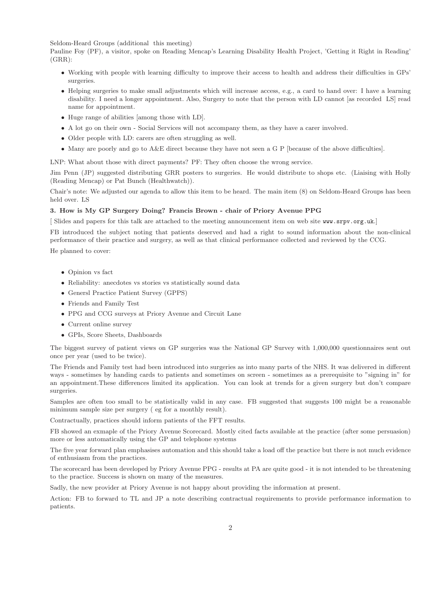Seldom-Heard Groups (additional this meeting)

Pauline Foy (PF), a visitor, spoke on Reading Mencap's Learning Disability Health Project, 'Getting it Right in Reading' (GRR):

- Working with people with learning difficulty to improve their access to health and address their difficulties in GPs' surgeries.
- Helping surgeries to make small adjustments which will increase access, e.g., a card to hand over: I have a learning disability. I need a longer appointment. Also, Surgery to note that the person with LD cannot [as recorded LS] read name for appointment.
- Huge range of abilities [among those with LD].
- A lot go on their own Social Services will not accompany them, as they have a carer involved.
- Older people with LD: carers are often struggling as well.
- Many are poorly and go to A&E direct because they have not seen a G P [because of the above difficulties].

LNP: What about those with direct payments? PF: They often choose the wrong service.

Jim Penn (JP) suggested distributing GRR posters to surgeries. He would distribute to shops etc. (Liaising with Holly (Reading Mencap) or Pat Bunch (Healthwatch)).

Chair's note: We adjusted our agenda to allow this item to be heard. The main item (8) on Seldom-Heard Groups has been held over. LS

#### 3. How is My GP Surgery Doing? Francis Brown - chair of Priory Avenue PPG

[ Slides and papers for this talk are attached to the meeting announcement item on web site www.srpv.org.uk.]

FB introduced the subject noting that patients deserved and had a right to sound information about the non-clinical performance of their practice and surgery, as well as that clinical performance collected and reviewed by the CCG.

He planned to cover:

- Opinion vs fact
- Reliability: anecdotes vs stories vs statistically sound data
- Genersl Practice Patient Survey (GPPS)
- Friends and Family Test
- PPG and CCG surveys at Priory Avenue and Circuit Lane
- Current online survey
- GPIs, Score Sheets, Dashboards

The biggest survey of patient views on GP surgeries was the National GP Survey with 1,000,000 questionnaires sent out once per year (used to be twice).

The Friends and Family test had been introduced into surgeries as into many parts of the NHS. It was delivered in different ways - sometimes by handing cards to patients and sometimes on screen - sometimes as a prerequisite to "signing in" for an appointment.These differences limited its application. You can look at trends for a given surgery but don't compare surgeries.

Samples are often too small to be statistically valid in any case. FB suggested that suggests 100 might be a reasonable minimum sample size per surgery ( eg for a monthly result).

Contractually, practices should inform patients of the FFT results.

FB showed an exmaple of the Priory Avenue Scorecard. Mostly cited facts available at the practice (after some persuasion) more or less automatically using the GP and telephone systems

The five year forward plan emphasises automation and this should take a load off the practice but there is not much evidence of enthusiasm from the practices.

The scorecard has been developed by Priory Avenue PPG - results at PA are quite good - it is not intended to be threatening to the practice. Success is shown on many of the measures.

Sadly, the new provider at Priory Avenue is not happy about providing the information at present.

Action: FB to forward to TL and JP a note describing contractual requirements to provide performance information to patients.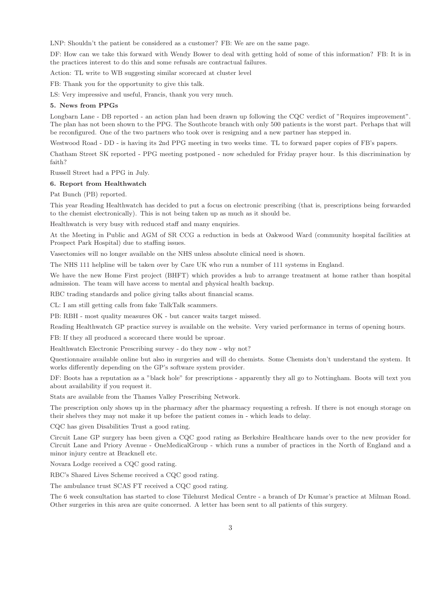LNP: Shouldn't the patient be considered as a customer? FB: We are on the same page.

DF: How can we take this forward with Wendy Bower to deal with getting hold of some of this information? FB: It is in the practices interest to do this and some refusals are contractual failures.

Action: TL write to WB suggesting similar scorecard at cluster level

FB: Thank you for the opportunity to give this talk.

LS: Very impressive and useful, Francis, thank you very much.

#### 5. News from PPGs

Longbarn Lane - DB reported - an action plan had been drawn up following the CQC verdict of "Requires improvement". The plan has not been shown to the PPG. The Southcote branch with only 500 patients is the worst part. Perhaps that will be reconfigured. One of the two partners who took over is resigning and a new partner has stepped in.

Westwood Road - DD - is having its 2nd PPG meeting in two weeks time. TL to forward paper copies of FB's papers.

Chatham Street SK reported - PPG meeting postponed - now scheduled for Friday prayer hour. Is this discrimination by faith?

Russell Street had a PPG in July.

#### 6. Report from Healthwatch

Pat Bunch (PB) reported.

This year Reading Healthwatch has decided to put a focus on electronic prescribing (that is, prescriptions being forwarded to the chemist electronically). This is not being taken up as much as it should be.

Healthwatch is very busy with reduced staff and many enquiries.

At the Meeting in Public and AGM of SR CCG a reduction in beds at Oakwood Ward (community hospital facilities at Prospect Park Hospital) due to staffing issues.

Vasectomies will no longer available on the NHS unless absolute clinical need is shown.

The NHS 111 helpline will be taken over by Care UK who run a number of 111 systems in England.

We have the new Home First project (BHFT) which provides a hub to arrange treatment at home rather than hospital admission. The team will have access to mental and physical health backup.

RBC trading standards and police giving talks about financial scams.

CL: I am still getting calls from fake TalkTalk scammers.

PB: RBH - most quality measures OK - but cancer waits target missed.

Reading Healthwatch GP practice survey is available on the website. Very varied performance in terms of opening hours.

FB: If they all produced a scorecard there would be uproar.

Healthwatch Electronic Prescribing survey - do they now - why not?

Questionnaire available online but also in surgeries and will do chemists. Some Chemists don't understand the system. It works differently depending on the GP's software system provider.

DF: Boots has a reputation as a "black hole" for prescriptions - apparently they all go to Nottingham. Boots will text you about availability if you request it.

Stats are available from the Thames Valley Prescribing Network.

The prescription only shows up in the pharmacy after the pharmacy requesting a refresh. If there is not enough storage on their shelves they may not make it up before the patient comes in - which leads to delay.

CQC has given Disabilities Trust a good rating.

Circuit Lane GP surgery has been given a CQC good rating as Berkshire Healthcare hands over to the new provider for Circuit Lane and Priory Avenue - OneMedicalGroup - which runs a number of practices in the North of England and a minor injury centre at Bracknell etc.

Novara Lodge received a CQC good rating.

RBC's Shared Lives Scheme received a CQC good rating.

The ambulance trust SCAS FT received a CQC good rating.

The 6 week consultation has started to close Tilehurst Medical Centre - a branch of Dr Kumar's practice at Milman Road. Other surgeries in this area are quite concerned. A letter has been sent to all patients of this surgery.